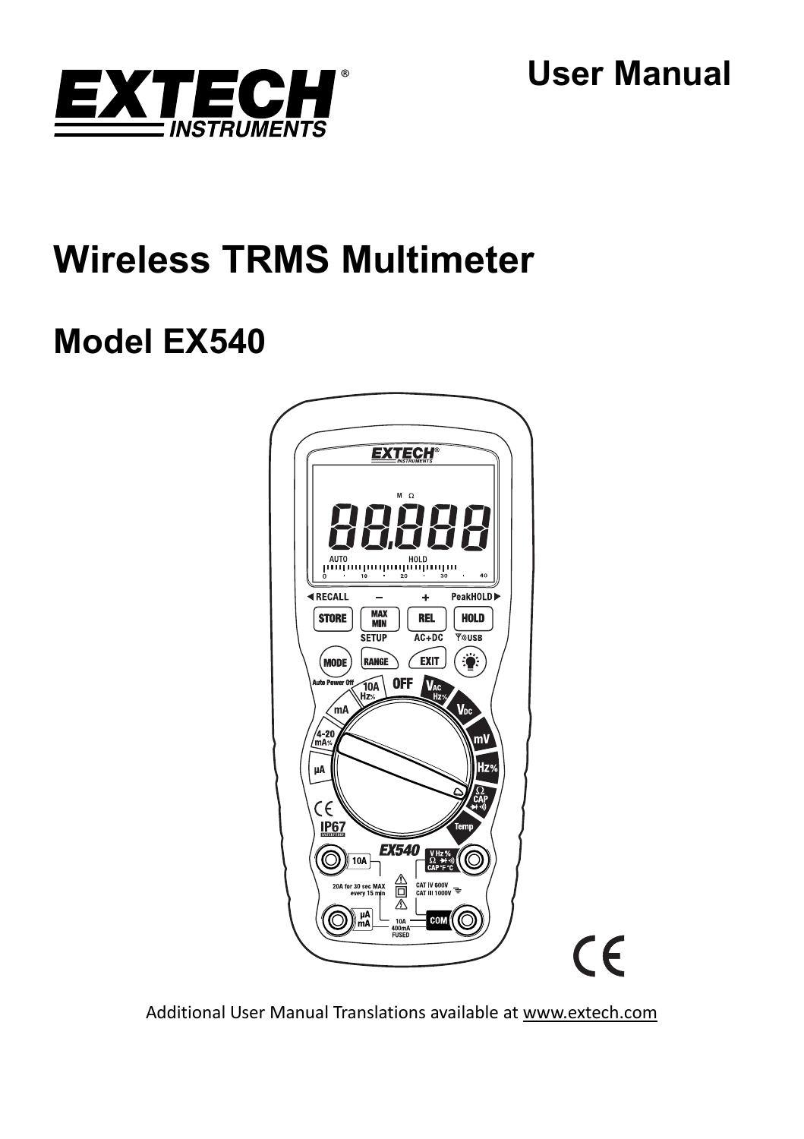

**User Manual** 

# **Wireless TRMS Multimeter**

# **Model EX540**



Additional User Manual Translations available at www.extech.com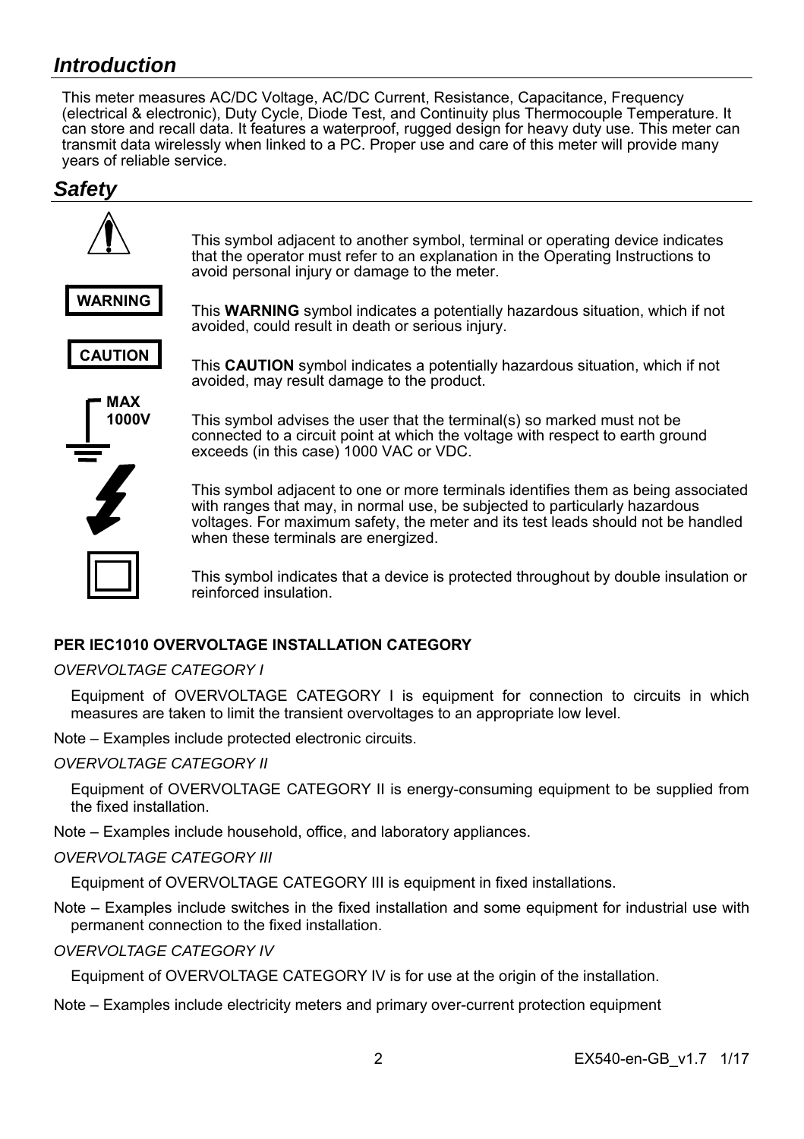# *Introduction*

This meter measures AC/DC Voltage, AC/DC Current, Resistance, Capacitance, Frequency (electrical & electronic), Duty Cycle, Diode Test, and Continuity plus Thermocouple Temperature. It can store and recall data. It features a waterproof, rugged design for heavy duty use. This meter can transmit data wirelessly when linked to a PC. Proper use and care of this meter will provide many years of reliable service.

# *Safety*



# **PER IFC1010 OVERVOLTAGE INSTALLATION CATEGORY**

## *OVERVOLTAGE CATEGORY I*

Equipment of OVERVOLTAGE CATEGORY I is equipment for connection to circuits in which measures are taken to limit the transient overvoltages to an appropriate low level.

Note – Examples include protected electronic circuits.

#### *OVERVOLTAGE CATEGORY II*

Equipment of OVERVOLTAGE CATEGORY II is energy-consuming equipment to be supplied from the fixed installation.

Note – Examples include household, office, and laboratory appliances.

## *OVERVOLTAGE CATEGORY III*

Equipment of OVERVOLTAGE CATEGORY III is equipment in fixed installations.

Note – Examples include switches in the fixed installation and some equipment for industrial use with permanent connection to the fixed installation.

*OVERVOLTAGE CATEGORY IV* 

Equipment of OVERVOLTAGE CATEGORY IV is for use at the origin of the installation.

Note – Examples include electricity meters and primary over-current protection equipment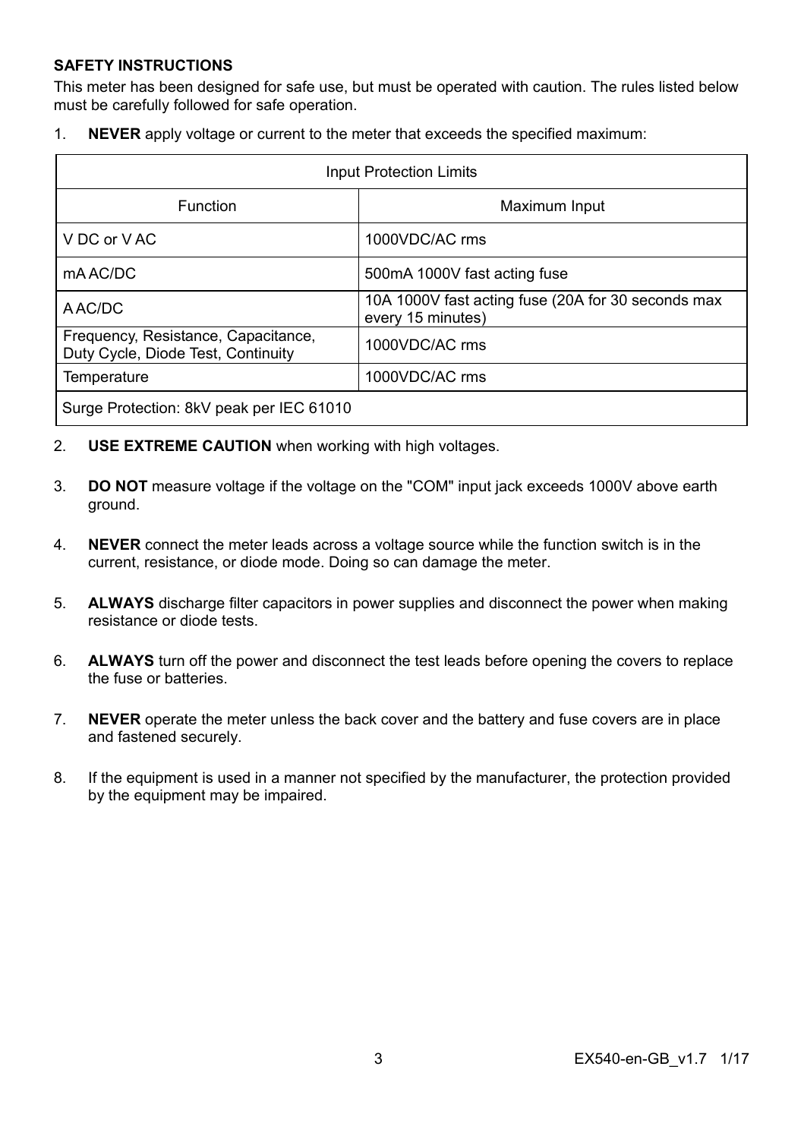#### **SAFETY INSTRUCTIONS**

This meter has been designed for safe use, but must be operated with caution. The rules listed below must be carefully followed for safe operation.

1. **NEVER** apply voltage or current to the meter that exceeds the specified maximum:

| <b>Input Protection Limits</b>                                            |                                                                         |  |
|---------------------------------------------------------------------------|-------------------------------------------------------------------------|--|
| Function                                                                  | Maximum Input                                                           |  |
| V DC or V AC                                                              | 1000VDC/AC rms                                                          |  |
| mA AC/DC                                                                  | 500mA 1000V fast acting fuse                                            |  |
| A AC/DC                                                                   | 10A 1000V fast acting fuse (20A for 30 seconds max<br>every 15 minutes) |  |
| Frequency, Resistance, Capacitance,<br>Duty Cycle, Diode Test, Continuity | 1000VDC/AC rms                                                          |  |
| Temperature                                                               | 1000VDC/AC rms                                                          |  |
| Surge Protection: 8kV peak per IEC 61010                                  |                                                                         |  |

- 2. **USE EXTREME CAUTION** when working with high voltages.
- 3. **DO NOT** measure voltage if the voltage on the "COM" input jack exceeds 1000V above earth ground.
- 4. **NEVER** connect the meter leads across a voltage source while the function switch is in the current, resistance, or diode mode. Doing so can damage the meter.
- 5. **ALWAYS** discharge filter capacitors in power supplies and disconnect the power when making resistance or diode tests.
- 6. **ALWAYS** turn off the power and disconnect the test leads before opening the covers to replace the fuse or batteries.
- 7. **NEVER** operate the meter unless the back cover and the battery and fuse covers are in place and fastened securely.
- 8. If the equipment is used in a manner not specified by the manufacturer, the protection provided by the equipment may be impaired.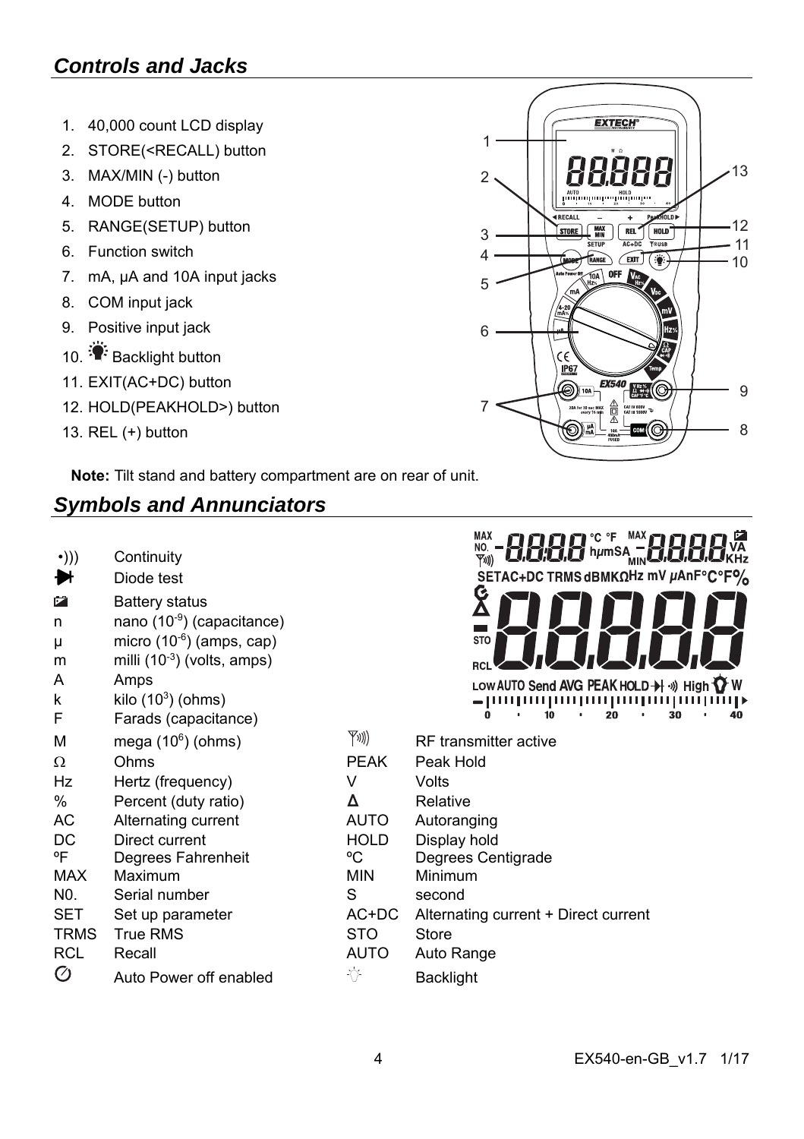# *Controls and Jacks*

- 1. 40,000 count LCD display
- 2. STORE(<RECALL) button
- 3. MAX/MIN (-) button
- 4. MODE button
- 5. RANGE(SETUP) button
- 6. Function switch
- 7. mA, µA and 10A input jacks
- 8. COM input jack
- 9. Positive input jack
- 10. Backlight button
- 11. EXIT(AC+DC) button
- 12. HOLD(PEAKHOLD>) button
- 13. REL (+) button

**Note:** Tilt stand and battery compartment are on rear of unit.

# *Symbols and Annunciators*

| •))) | Continuity |
|------|------------|
|      |            |

- Diode test Ħ
- **Battery status** n nano  $(10^{-9})$  (capacitance)
- $\mu$  micro (10<sup>-6</sup>) (amps, cap)
- m milli  $(10^{-3})$  (volts, amps)
- A Amps

Ø

- k kilo  $(10^3)$  (ohms)
- F Farads (capacitance)
- M mega (10<sup>6</sup>



| м    | mega $(10^6)$ (ohms)   | YV))        | RF transmitter active                |
|------|------------------------|-------------|--------------------------------------|
| Ω    | Ohms                   | <b>PEAK</b> | Peak Hold                            |
| Hz   | Hertz (frequency)      | V           | Volts                                |
| ℅    | Percent (duty ratio)   | Δ           | Relative                             |
| AС   | Alternating current    | <b>AUTO</b> | Autoranging                          |
| DC   | Direct current         | HOLD        | Display hold                         |
| ٥F   | Degrees Fahrenheit     | °C          | Degrees Centigrade                   |
| MAX  | Maximum                | <b>MIN</b>  | Minimum                              |
| N0.  | Serial number          | S           | second                               |
| SET  | Set up parameter       | AC+DC       | Alternating current + Direct current |
| TRMS | True RMS               | <b>STO</b>  | Store                                |
| RCL  | Recall                 | <b>AUTO</b> | Auto Range                           |
| Ø    | Auto Power off enabled | ⊹(⊁         | <b>Backlight</b>                     |

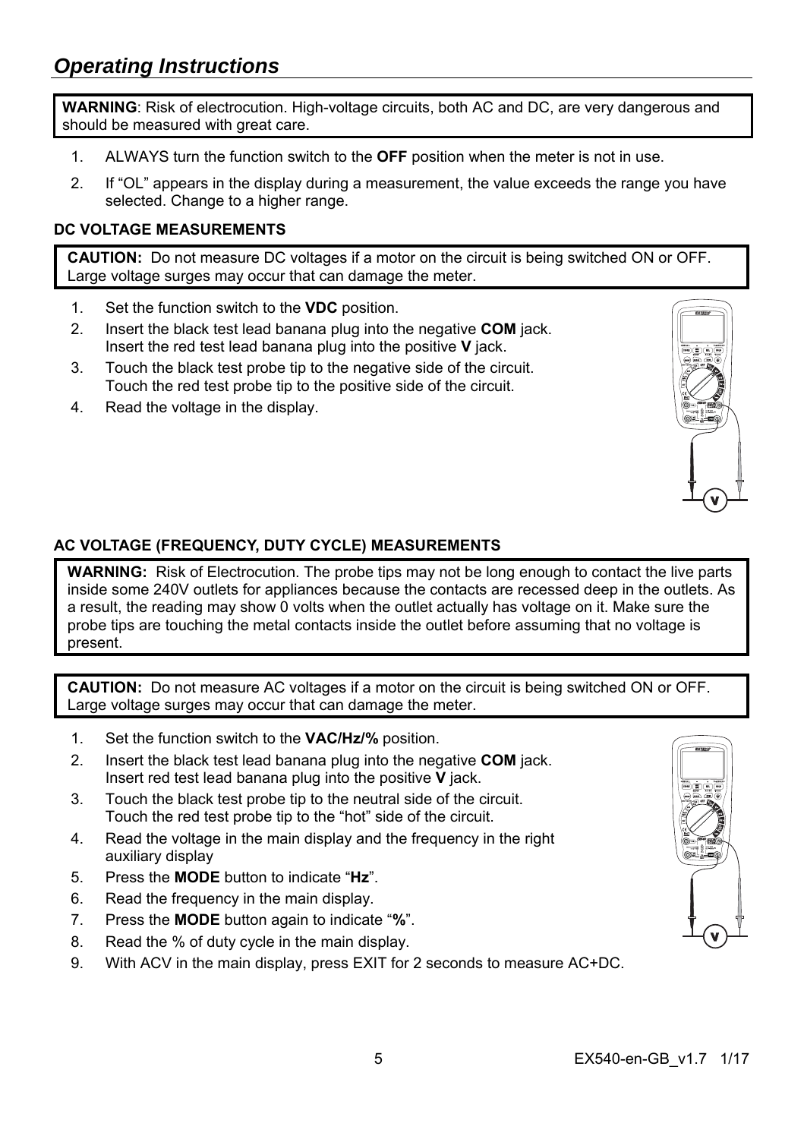**WARNING**: Risk of electrocution. High-voltage circuits, both AC and DC, are very dangerous and should be measured with great care.

- 1. ALWAYS turn the function switch to the **OFF** position when the meter is not in use.
- 2. If "OL" appears in the display during a measurement, the value exceeds the range you have selected. Change to a higher range.

# **DC VOLTAGE MEASUREMENTS**

**CAUTION:** Do not measure DC voltages if a motor on the circuit is being switched ON or OFF. Large voltage surges may occur that can damage the meter.

- 1. Set the function switch to the **VDC** position.
- 2. Insert the black test lead banana plug into the negative **COM** jack. Insert the red test lead banana plug into the positive **V** jack.
- 3. Touch the black test probe tip to the negative side of the circuit. Touch the red test probe tip to the positive side of the circuit.
- 4. Read the voltage in the display.



# **AC VOLTAGE (FREQUENCY, DUTY CYCLE) MEASUREMENTS**

**WARNING:** Risk of Electrocution. The probe tips may not be long enough to contact the live parts inside some 240V outlets for appliances because the contacts are recessed deep in the outlets. As a result, the reading may show 0 volts when the outlet actually has voltage on it. Make sure the probe tips are touching the metal contacts inside the outlet before assuming that no voltage is present.

**CAUTION:** Do not measure AC voltages if a motor on the circuit is being switched ON or OFF. Large voltage surges may occur that can damage the meter.

- 1. Set the function switch to the **VAC/Hz/%** position.
- 2. Insert the black test lead banana plug into the negative **COM** jack. Insert red test lead banana plug into the positive **V** jack.
- 3. Touch the black test probe tip to the neutral side of the circuit. Touch the red test probe tip to the "hot" side of the circuit.
- 4. Read the voltage in the main display and the frequency in the right auxiliary display
- 5. Press the **MODE** button to indicate "**Hz**".
- 6. Read the frequency in the main display.
- 7. Press the **MODE** button again to indicate "**%**".
- 8. Read the % of duty cycle in the main display.
- 9. With ACV in the main display, press EXIT for 2 seconds to measure AC+DC.

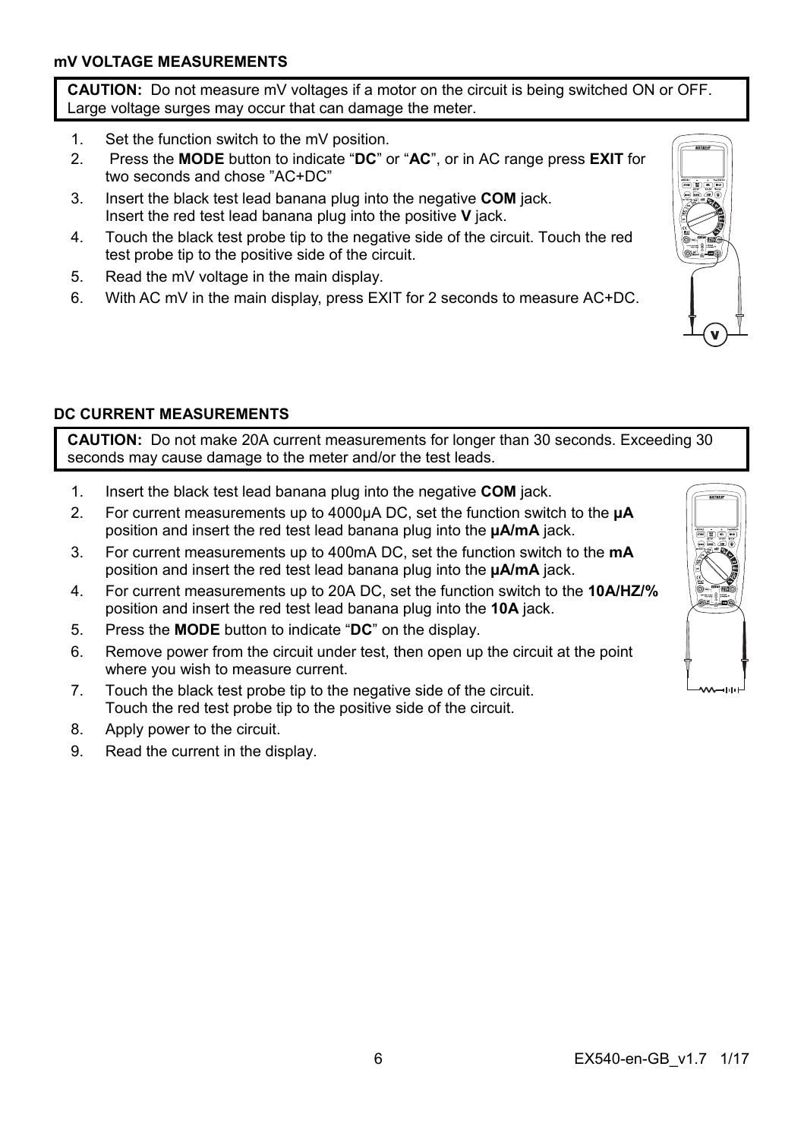**CAUTION:** Do not measure mV voltages if a motor on the circuit is being switched ON or OFF. Large voltage surges may occur that can damage the meter.

- 1. Set the function switch to the mV position.
- 2. Press the **MODE** button to indicate "**DC**" or "**AC**", or in AC range press **EXIT** for two seconds and chose "AC+DC"
- 3. Insert the black test lead banana plug into the negative **COM** jack. Insert the red test lead banana plug into the positive **V** jack.
- 4. Touch the black test probe tip to the negative side of the circuit. Touch the red test probe tip to the positive side of the circuit.
- 5. Read the mV voltage in the main display.
- 6. With AC mV in the main display, press EXIT for 2 seconds to measure AC+DC.



# **DC CURRENT MEASUREMENTS**

**CAUTION:** Do not make 20A current measurements for longer than 30 seconds. Exceeding 30 seconds may cause damage to the meter and/or the test leads.

- 1. Insert the black test lead banana plug into the negative **COM** jack.
- 2. For current measurements up to 4000µA DC, set the function switch to the **µA** position and insert the red test lead banana plug into the **µA/mA** jack.
- 3. For current measurements up to 400mA DC, set the function switch to the **mA** position and insert the red test lead banana plug into the **µA/mA** jack.
- 4. For current measurements up to 20A DC, set the function switch to the **10A/HZ/%** position and insert the red test lead banana plug into the **10A** jack.
- 5. Press the **MODE** button to indicate "**DC**" on the display.
- 6. Remove power from the circuit under test, then open up the circuit at the point where you wish to measure current.
- 7. Touch the black test probe tip to the negative side of the circuit. Touch the red test probe tip to the positive side of the circuit.
- 8. Apply power to the circuit.
- 9. Read the current in the display.

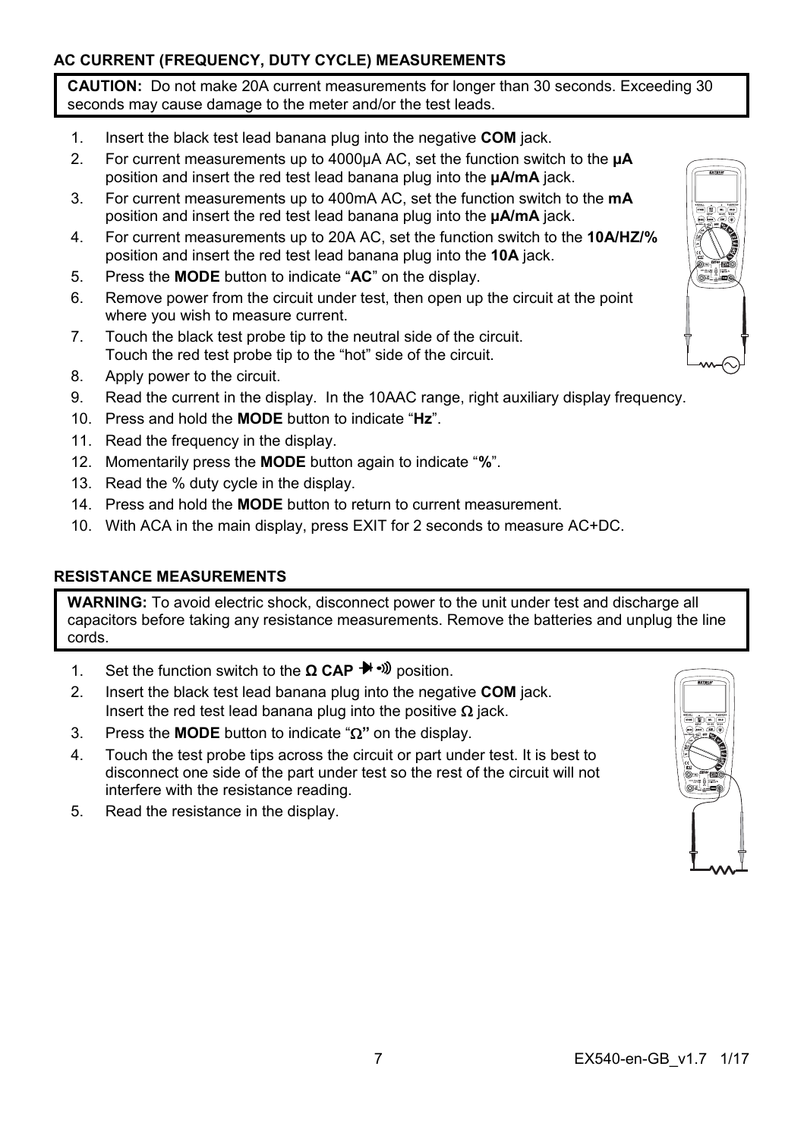# **AC CURRENT (FREQUENCY, DUTY CYCLE) MEASUREMENTS**

**CAUTION:** Do not make 20A current measurements for longer than 30 seconds. Exceeding 30 seconds may cause damage to the meter and/or the test leads.

- 1. Insert the black test lead banana plug into the negative **COM** jack.
- 2. For current measurements up to 4000µA AC, set the function switch to the **µA** position and insert the red test lead banana plug into the **µA/mA** jack.
- 3. For current measurements up to 400mA AC, set the function switch to the **mA** position and insert the red test lead banana plug into the **µA/mA** jack.
- 4. For current measurements up to 20A AC, set the function switch to the **10A/HZ/%** position and insert the red test lead banana plug into the **10A** jack.
- 5. Press the **MODE** button to indicate "**AC**" on the display.
- 6. Remove power from the circuit under test, then open up the circuit at the point where you wish to measure current.
- 7. Touch the black test probe tip to the neutral side of the circuit. Touch the red test probe tip to the "hot" side of the circuit.
- 8. Apply power to the circuit.
- 9. Read the current in the display. In the 10AAC range, right auxiliary display frequency.
- 10. Press and hold the **MODE** button to indicate "**Hz**".
- 11. Read the frequency in the display.
- 12. Momentarily press the **MODE** button again to indicate "**%**".
- 13. Read the % duty cycle in the display.
- 14. Press and hold the **MODE** button to return to current measurement.
- 10. With ACA in the main display, press EXIT for 2 seconds to measure AC+DC.

## **RESISTANCE MEASUREMENTS**

**WARNING:** To avoid electric shock, disconnect power to the unit under test and discharge all capacitors before taking any resistance measurements. Remove the batteries and unplug the line cords.

- 1. Set the function switch to the **Ω CAP** <sup>→</sup><sup>*n*</sup> position.
- 2. Insert the black test lead banana plug into the negative **COM** jack. Insert the red test lead banana plug into the positive  $\Omega$  jack.
- 3. Press the **MODE** button to indicate " $\Omega$ " on the display.
- 4. Touch the test probe tips across the circuit or part under test. It is best to disconnect one side of the part under test so the rest of the circuit will not interfere with the resistance reading.
- 5. Read the resistance in the display.

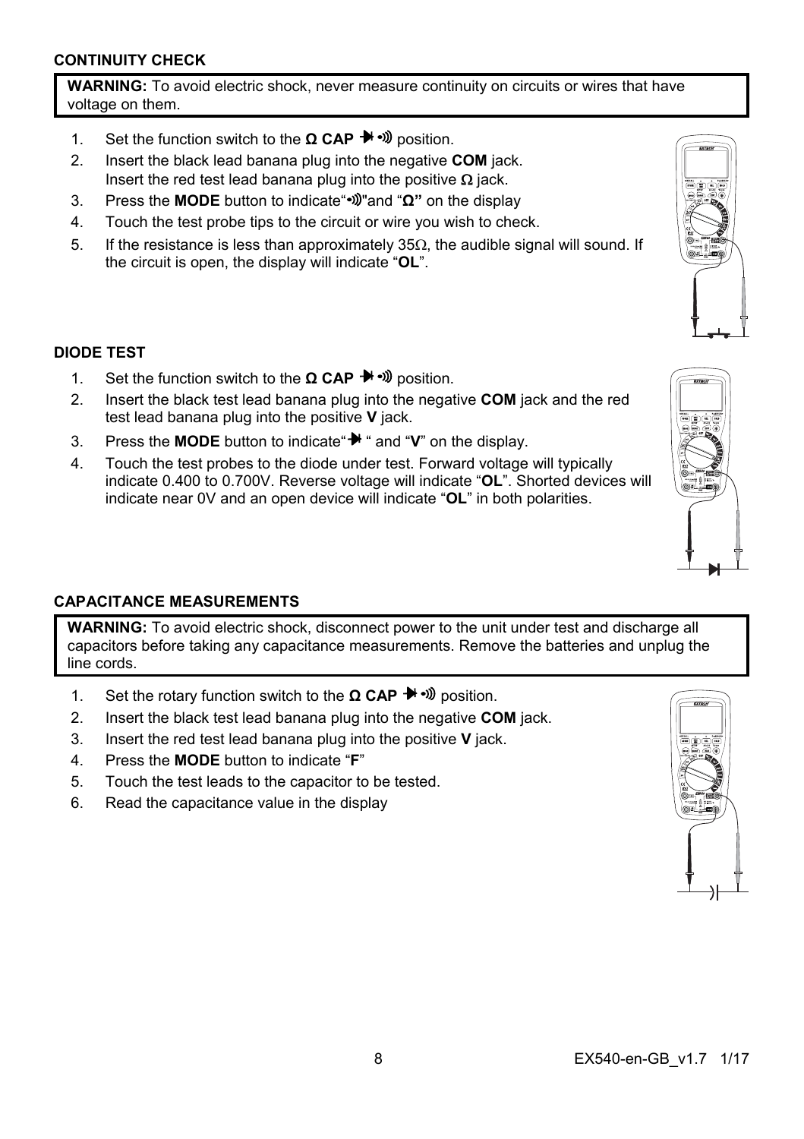# **CONTINUITY CHECK**

**WARNING:** To avoid electric shock, never measure continuity on circuits or wires that have voltage on them.

- 1. Set the function switch to the **Ω CAP** <sup>→</sup> Dosition.
- 2. Insert the black lead banana plug into the negative **COM** jack. Insert the red test lead banana plug into the positive  $\Omega$  jack.
- 3. Press the **MODE** button to indicate" "and "**Ω"** on the display
- 4. Touch the test probe tips to the circuit or wire you wish to check.
- 5. If the resistance is less than approximately  $35\Omega$ , the audible signal will sound. If the circuit is open, the display will indicate "**OL**".

## **DIODE TEST**

- 1. Set the function switch to the **Ω CAP** <sup>→</sup><sup>*n*</sup> position.
- 2. Insert the black test lead banana plug into the negative **COM** jack and the red test lead banana plug into the positive **V** jack.
- 3. Press the **MODE** button to indicate  $\mathbf{H}$  " and "**V**" on the display.
- 4. Touch the test probes to the diode under test. Forward voltage will typically indicate 0.400 to 0.700V. Reverse voltage will indicate "**OL**". Shorted devices will indicate near 0V and an open device will indicate "**OL**" in both polarities.

## **CAPACITANCE MEASUREMENTS**

**WARNING:** To avoid electric shock, disconnect power to the unit under test and discharge all capacitors before taking any capacitance measurements. Remove the batteries and unplug the line cords.

- 1. Set the rotary function switch to the **Ω CAP** → D position.
- 2. Insert the black test lead banana plug into the negative **COM** jack.
- 3. Insert the red test lead banana plug into the positive **V** jack.
- 4. Press the **MODE** button to indicate "**F**"
- 5. Touch the test leads to the capacitor to be tested.
- 6. Read the capacitance value in the display







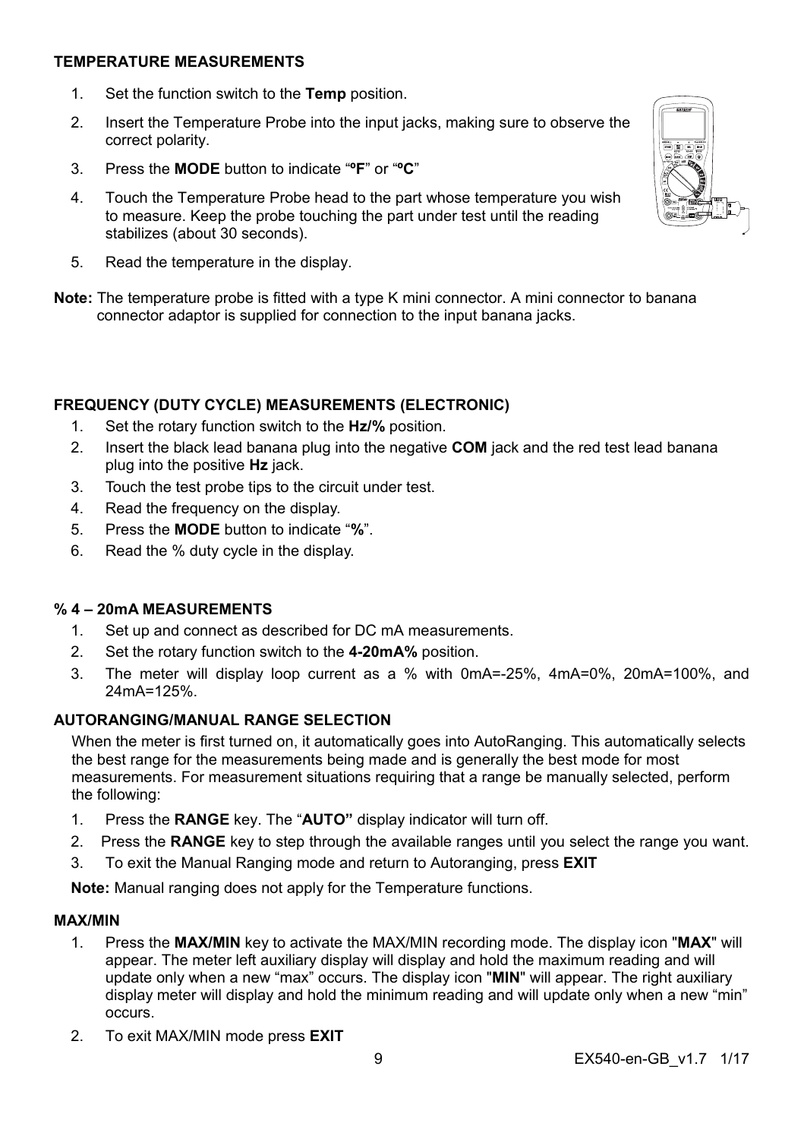#### **TEMPERATURE MEASUREMENTS**

- 1. Set the function switch to the **Temp** position.
- 2. Insert the Temperature Probe into the input jacks, making sure to observe the correct polarity.
- 3. Press the **MODE** button to indicate "**ºF**" or "**ºC**"
- 4. Touch the Temperature Probe head to the part whose temperature you wish to measure. Keep the probe touching the part under test until the reading stabilizes (about 30 seconds).
- 5. Read the temperature in the display.
- **Note:** The temperature probe is fitted with a type K mini connector. A mini connector to banana connector adaptor is supplied for connection to the input banana jacks.

#### **FREQUENCY (DUTY CYCLE) MEASUREMENTS (ELECTRONIC)**

- 1. Set the rotary function switch to the **Hz/%** position.
- 2. Insert the black lead banana plug into the negative **COM** jack and the red test lead banana plug into the positive **Hz** jack.
- 3. Touch the test probe tips to the circuit under test.
- 4. Read the frequency on the display.
- 5. Press the **MODE** button to indicate "**%**".
- 6. Read the % duty cycle in the display.

## **% 4 – 20mA MEASUREMENTS**

- 1. Set up and connect as described for DC mA measurements.
- 2. Set the rotary function switch to the **4-20mA%** position.
- 3. The meter will display loop current as a % with 0mA=-25%, 4mA=0%, 20mA=100%, and 24mA=125%.

# **AUTORANGING/MANUAL RANGE SELECTION**

When the meter is first turned on, it automatically goes into AutoRanging. This automatically selects the best range for the measurements being made and is generally the best mode for most measurements. For measurement situations requiring that a range be manually selected, perform the following:

- 1. Press the **RANGE** key. The "**AUTO"** display indicator will turn off.
- 2. Press the **RANGE** key to step through the available ranges until you select the range you want.
- 3. To exit the Manual Ranging mode and return to Autoranging, press **EXIT**

**Note:** Manual ranging does not apply for the Temperature functions.

#### **MAX/MIN**

- 1. Press the **MAX/MIN** key to activate the MAX/MIN recording mode. The display icon "**MAX**" will appear. The meter left auxiliary display will display and hold the maximum reading and will update only when a new "max" occurs. The display icon "**MIN**" will appear. The right auxiliary display meter will display and hold the minimum reading and will update only when a new "min" occurs.
- 2. To exit MAX/MIN mode press **EXIT**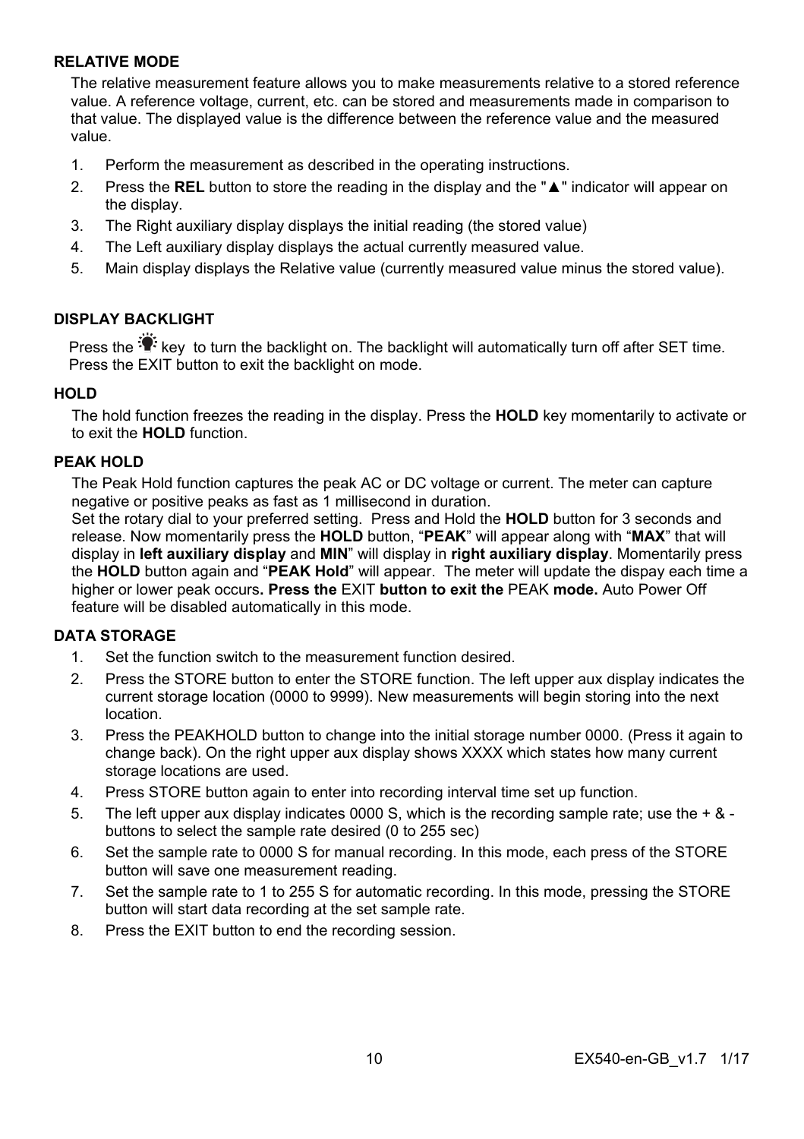#### **RELATIVE MODE**

The relative measurement feature allows you to make measurements relative to a stored reference value. A reference voltage, current, etc. can be stored and measurements made in comparison to that value. The displayed value is the difference between the reference value and the measured value.

- 1. Perform the measurement as described in the operating instructions.
- 2. Press the **REL** button to store the reading in the display and the "**▲**" indicator will appear on the display.
- 3. The Right auxiliary display displays the initial reading (the stored value)
- 4. The Left auxiliary display displays the actual currently measured value.
- 5. Main display displays the Relative value (currently measured value minus the stored value).

#### **DISPLAY BACKLIGHT**

Press the  $\mathbb{R}^k$  key to turn the backlight on. The backlight will automatically turn off after SET time. Press the EXIT button to exit the backlight on mode.

#### **HOLD**

The hold function freezes the reading in the display. Press the **HOLD** key momentarily to activate or to exit the **HOLD** function.

#### **PEAK HOLD**

The Peak Hold function captures the peak AC or DC voltage or current. The meter can capture negative or positive peaks as fast as 1 millisecond in duration.

Set the rotary dial to your preferred setting. Press and Hold the **HOLD** button for 3 seconds and release. Now momentarily press the **HOLD** button, "**PEAK**" will appear along with "**MAX**" that will display in **left auxiliary display** and **MIN**" will display in **right auxiliary display**. Momentarily press the **HOLD** button again and "**PEAK Hold**" will appear. The meter will update the dispay each time a higher or lower peak occurs**. Press the** EXIT **button to exit the** PEAK **mode.** Auto Power Off feature will be disabled automatically in this mode.

# **DATA STORAGE**

- 1. Set the function switch to the measurement function desired.
- 2. Press the STORE button to enter the STORE function. The left upper aux display indicates the current storage location (0000 to 9999). New measurements will begin storing into the next location.
- 3. Press the PEAKHOLD button to change into the initial storage number 0000. (Press it again to change back). On the right upper aux display shows XXXX which states how many current storage locations are used.
- 4. Press STORE button again to enter into recording interval time set up function.
- 5. The left upper aux display indicates 0000 S, which is the recording sample rate; use the  $+ 8 1$ buttons to select the sample rate desired (0 to 255 sec)
- 6. Set the sample rate to 0000 S for manual recording. In this mode, each press of the STORE button will save one measurement reading.
- 7. Set the sample rate to 1 to 255 S for automatic recording. In this mode, pressing the STORE button will start data recording at the set sample rate.
- 8. Press the EXIT button to end the recording session.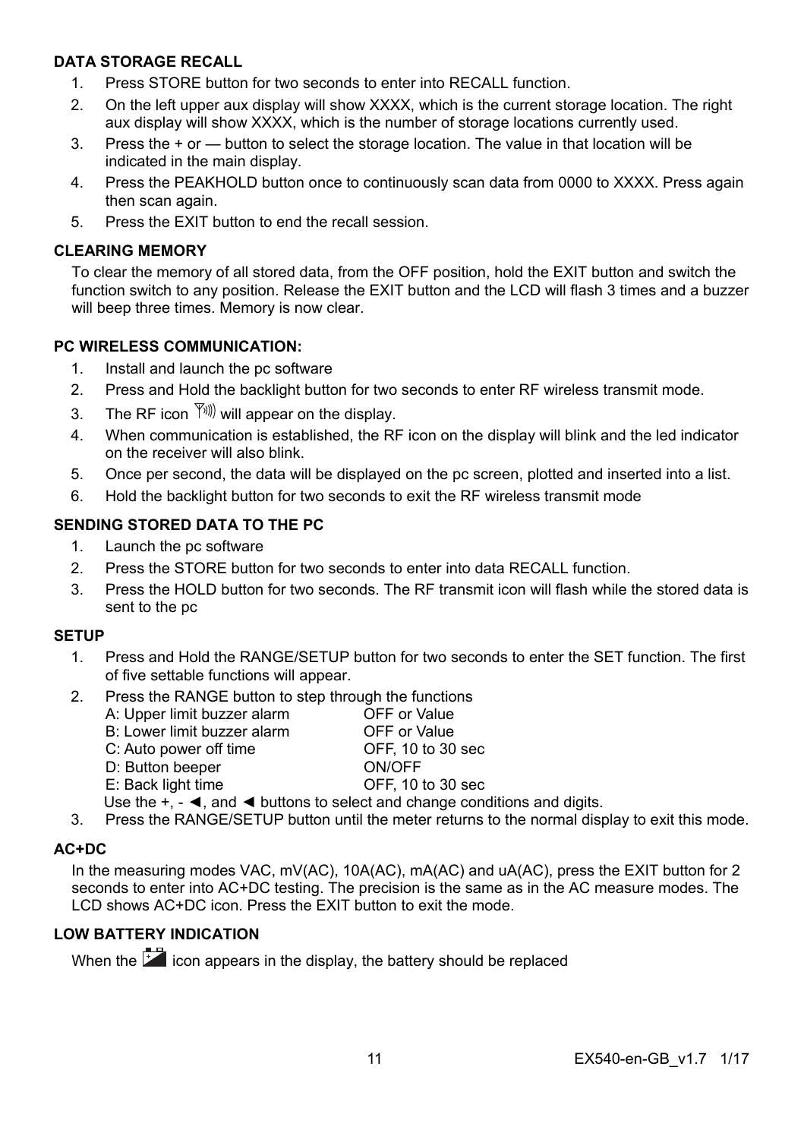# **DATA STORAGE RECALL**

- 1. Press STORE button for two seconds to enter into RECALL function.
- 2. On the left upper aux display will show XXXX, which is the current storage location. The right aux display will show XXXX, which is the number of storage locations currently used.
- 3. Press the + or button to select the storage location. The value in that location will be indicated in the main display.
- 4. Press the PEAKHOLD button once to continuously scan data from 0000 to XXXX. Press again then scan again.
- 5. Press the EXIT button to end the recall session.

#### **CLEARING MEMORY**

To clear the memory of all stored data, from the OFF position, hold the EXIT button and switch the function switch to any position. Release the EXIT button and the LCD will flash 3 times and a buzzer will beep three times. Memory is now clear.

## **PC WIRELESS COMMUNICATION:**

- 1. Install and launch the pc software
- 2. Press and Hold the backlight button for two seconds to enter RF wireless transmit mode.
- 3. The RF icon  $\sqrt{\binom{y}{y}}$  will appear on the display.
- 4. When communication is established, the RF icon on the display will blink and the led indicator on the receiver will also blink.
- 5. Once per second, the data will be displayed on the pc screen, plotted and inserted into a list.
- 6. Hold the backlight button for two seconds to exit the RF wireless transmit mode

# **SENDING STORED DATA TO THE PC**

- 1. Launch the pc software
- 2. Press the STORE button for two seconds to enter into data RECALL function.
- 3. Press the HOLD button for two seconds. The RF transmit icon will flash while the stored data is sent to the pc

#### **SETUP**

- 1. Press and Hold the RANGE/SETUP button for two seconds to enter the SET function. The first of five settable functions will appear.
- 2. Press the RANGE button to step through the functions
	- A: Upper limit buzzer alarm OFF or Value B: Lower limit buzzer alarm OFF or Value C: Auto power off time<br>
	D: Button beener<br>
	ON/OFF D: Button beeper E: Back light time OFF, 10 to 30 sec
- Use the  $+$ ,  $\blacktriangleleft$ , and  $\blacktriangleleft$  buttons to select and change conditions and digits.
- 3. Press the RANGE/SETUP button until the meter returns to the normal display to exit this mode.

## **AC+DC**

In the measuring modes VAC, mV(AC), 10A(AC), mA(AC) and uA(AC), press the EXIT button for 2 seconds to enter into AC+DC testing. The precision is the same as in the AC measure modes. The LCD shows AC+DC icon. Press the EXIT button to exit the mode.

# **LOW BATTERY INDICATION**

When the  $\overline{12}$  icon appears in the display, the battery should be replaced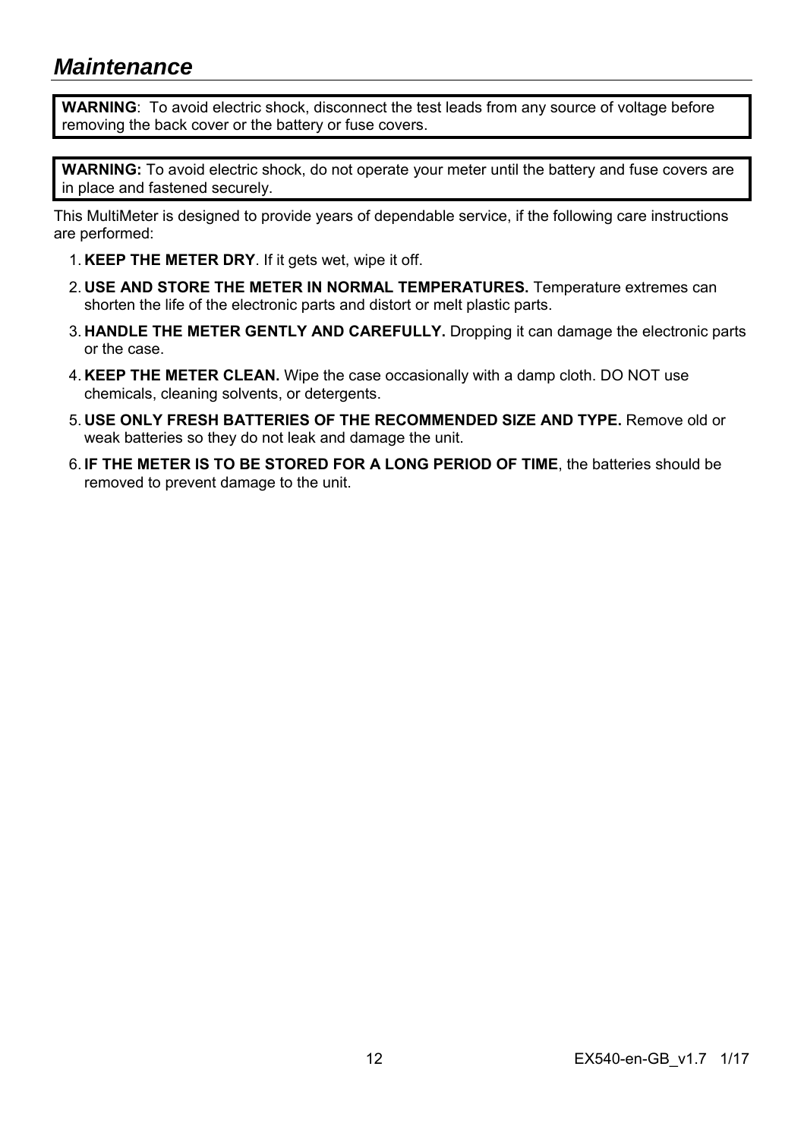# *Maintenance*

**WARNING**: To avoid electric shock, disconnect the test leads from any source of voltage before removing the back cover or the battery or fuse covers.

**WARNING:** To avoid electric shock, do not operate your meter until the battery and fuse covers are in place and fastened securely.

This MultiMeter is designed to provide years of dependable service, if the following care instructions are performed:

- 1. **KEEP THE METER DRY**. If it gets wet, wipe it off.
- 2. **USE AND STORE THE METER IN NORMAL TEMPERATURES.** Temperature extremes can shorten the life of the electronic parts and distort or melt plastic parts.
- 3. **HANDLE THE METER GENTLY AND CAREFULLY.** Dropping it can damage the electronic parts or the case.
- 4. **KEEP THE METER CLEAN.** Wipe the case occasionally with a damp cloth. DO NOT use chemicals, cleaning solvents, or detergents.
- 5. **USE ONLY FRESH BATTERIES OF THE RECOMMENDED SIZE AND TYPE.** Remove old or weak batteries so they do not leak and damage the unit.
- 6. **IF THE METER IS TO BE STORED FOR A LONG PERIOD OF TIME**, the batteries should be removed to prevent damage to the unit.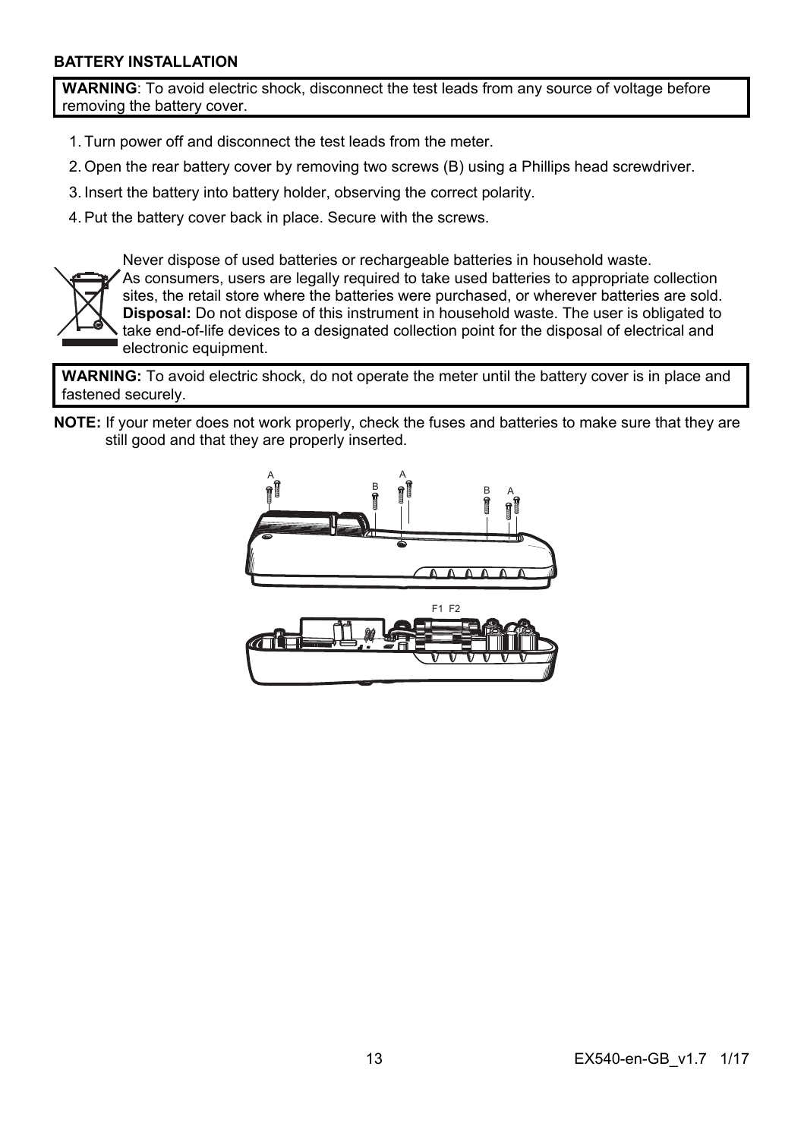#### **BATTERY INSTALLATION**

**WARNING**: To avoid electric shock, disconnect the test leads from any source of voltage before removing the battery cover.

- 1. Turn power off and disconnect the test leads from the meter.
- 2. Open the rear battery cover by removing two screws (B) using a Phillips head screwdriver.
- 3. Insert the battery into battery holder, observing the correct polarity.
- 4. Put the battery cover back in place. Secure with the screws.



Never dispose of used batteries or rechargeable batteries in household waste. As consumers, users are legally required to take used batteries to appropriate collection sites, the retail store where the batteries were purchased, or wherever batteries are sold. **Disposal:** Do not dispose of this instrument in household waste. The user is obligated to take end-of-life devices to a designated collection point for the disposal of electrical and electronic equipment.

**WARNING:** To avoid electric shock, do not operate the meter until the battery cover is in place and fastened securely.

**NOTE:** If your meter does not work properly, check the fuses and batteries to make sure that they are still good and that they are properly inserted.

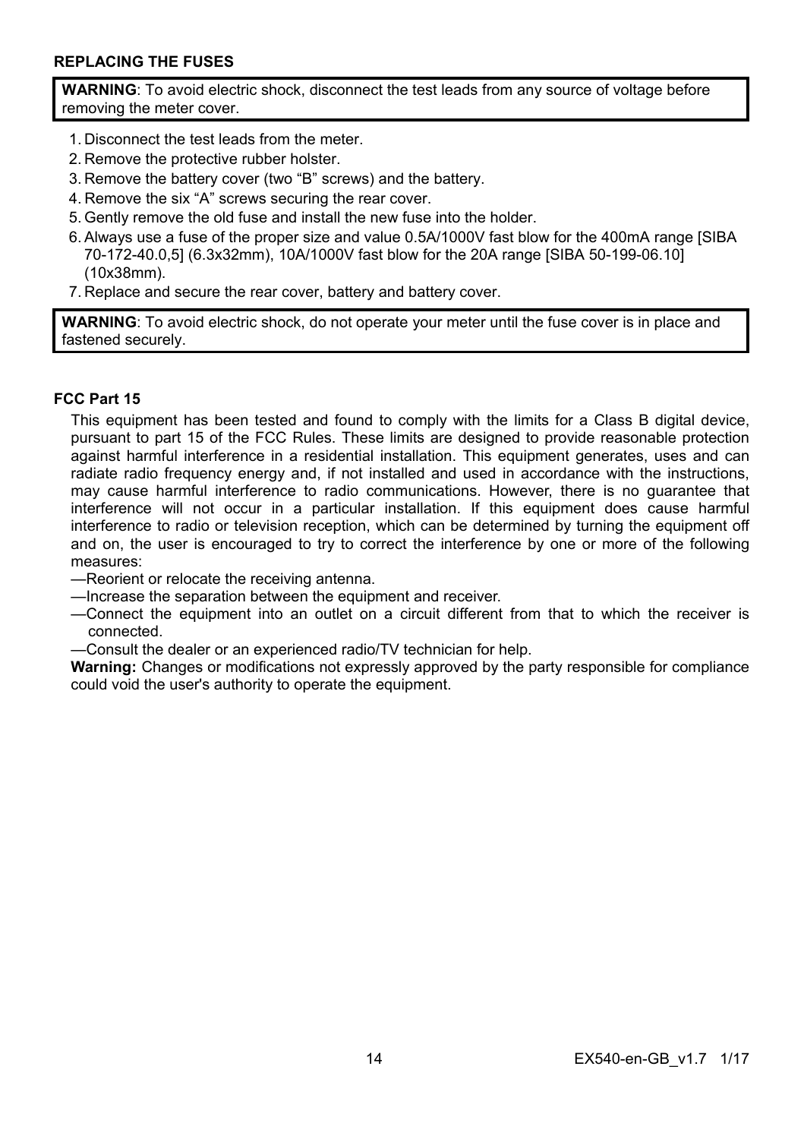## **REPLACING THE FUSES**

**WARNING**: To avoid electric shock, disconnect the test leads from any source of voltage before removing the meter cover.

- 1. Disconnect the test leads from the meter.
- 2. Remove the protective rubber holster.
- 3. Remove the battery cover (two "B" screws) and the battery.
- 4. Remove the six "A" screws securing the rear cover.
- 5. Gently remove the old fuse and install the new fuse into the holder.
- 6. Always use a fuse of the proper size and value 0.5A/1000V fast blow for the 400mA range [SIBA 70-172-40.0,5] (6.3x32mm), 10A/1000V fast blow for the 20A range [SIBA 50-199-06.10] (10x38mm).
- 7. Replace and secure the rear cover, battery and battery cover.

**WARNING**: To avoid electric shock, do not operate your meter until the fuse cover is in place and fastened securely.

#### **FCC Part 15**

This equipment has been tested and found to comply with the limits for a Class B digital device, pursuant to part 15 of the FCC Rules. These limits are designed to provide reasonable protection against harmful interference in a residential installation. This equipment generates, uses and can radiate radio frequency energy and, if not installed and used in accordance with the instructions, may cause harmful interference to radio communications. However, there is no guarantee that interference will not occur in a particular installation. If this equipment does cause harmful interference to radio or television reception, which can be determined by turning the equipment off and on, the user is encouraged to try to correct the interference by one or more of the following measures:

- —Reorient or relocate the receiving antenna.
- —Increase the separation between the equipment and receiver.
- —Connect the equipment into an outlet on a circuit different from that to which the receiver is connected.
- —Consult the dealer or an experienced radio/TV technician for help.

**Warning:** Changes or modifications not expressly approved by the party responsible for compliance could void the user's authority to operate the equipment.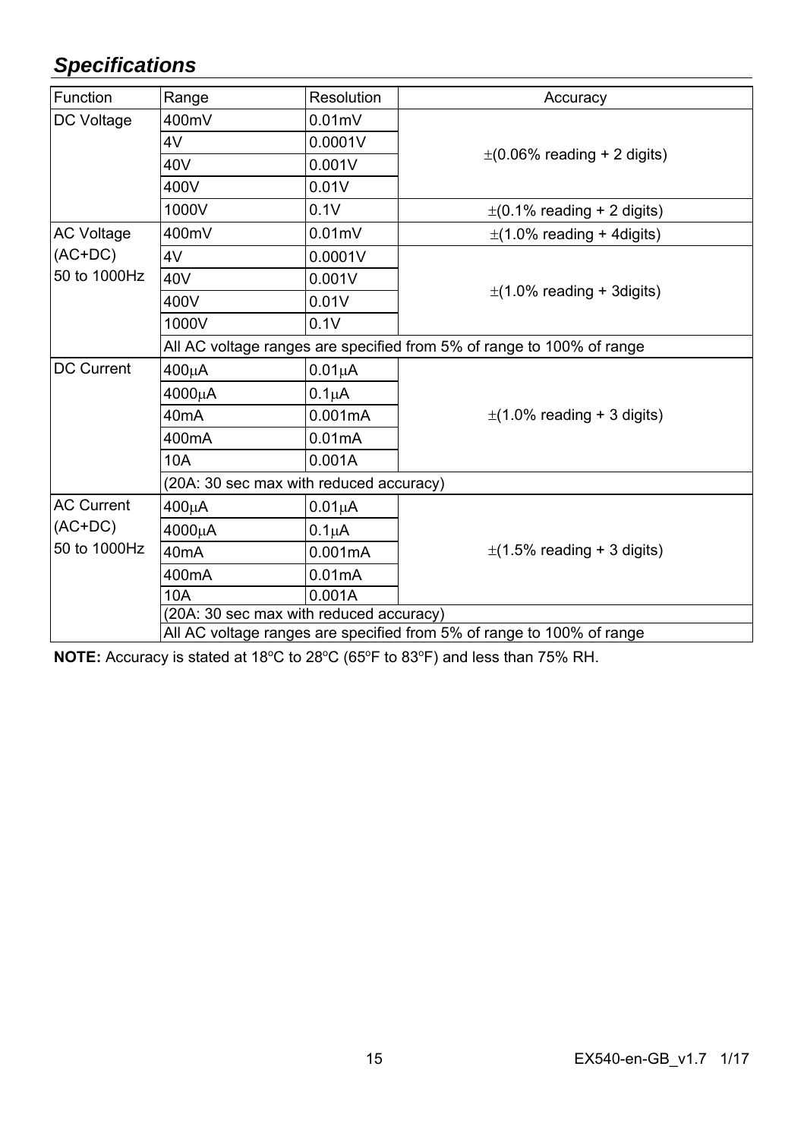# *Specifications*

| Function                                       | Range                                                                 | Resolution          | Accuracy                         |  |
|------------------------------------------------|-----------------------------------------------------------------------|---------------------|----------------------------------|--|
| DC Voltage                                     | 400mV                                                                 | $0.01$ m $V$        |                                  |  |
|                                                | 4V                                                                    | 0.0001V             |                                  |  |
|                                                | 40V                                                                   | 0.001V              | $\pm$ (0.06% reading + 2 digits) |  |
|                                                | 400V                                                                  | 0.01V               |                                  |  |
|                                                | 1000V                                                                 | 0.1V                | $\pm$ (0.1% reading + 2 digits)  |  |
| AC Voltage                                     | 400mV                                                                 | $0.01$ m $V$        | $\pm$ (1.0% reading + 4digits)   |  |
| $(AC+DC)$<br>50 to 1000Hz                      | 4V                                                                    | 0.0001V             |                                  |  |
|                                                | 40V                                                                   | 0.001V              |                                  |  |
|                                                | 400V                                                                  | 0.01V               | $\pm$ (1.0% reading + 3digits)   |  |
|                                                | 1000V                                                                 | 0.1V                |                                  |  |
|                                                | All AC voltage ranges are specified from 5% of range to 100% of range |                     |                                  |  |
| <b>DC Current</b>                              | 400μA                                                                 | $0.01\mu A$         |                                  |  |
|                                                | 4000µA                                                                | 0.1 <sub>µ</sub> A  |                                  |  |
|                                                | 40 <sub>m</sub> A                                                     | 0.001mA             | $\pm$ (1.0% reading + 3 digits)  |  |
|                                                | 400mA                                                                 | 0.01mA              |                                  |  |
|                                                | 10A                                                                   | 0.001A              |                                  |  |
|                                                | (20A: 30 sec max with reduced accuracy)                               |                     |                                  |  |
| <b>AC Current</b><br>$(AC+DC)$<br>50 to 1000Hz | 400μA                                                                 | 0.01 <sub>µ</sub> A |                                  |  |
|                                                | 4000μA                                                                | $0.1\muA$           | $\pm$ (1.5% reading + 3 digits)  |  |
|                                                | 40 <sub>m</sub> A                                                     | 0.001mA             |                                  |  |
|                                                | 400mA                                                                 | 0.01mA              |                                  |  |
|                                                | 10A                                                                   | 0.001A              |                                  |  |
|                                                | (20A: 30 sec max with reduced accuracy)                               |                     |                                  |  |
|                                                | All AC voltage ranges are specified from 5% of range to 100% of range |                     |                                  |  |

NOTE: Accuracy is stated at 18°C to 28°C (65°F to 83°F) and less than 75% RH.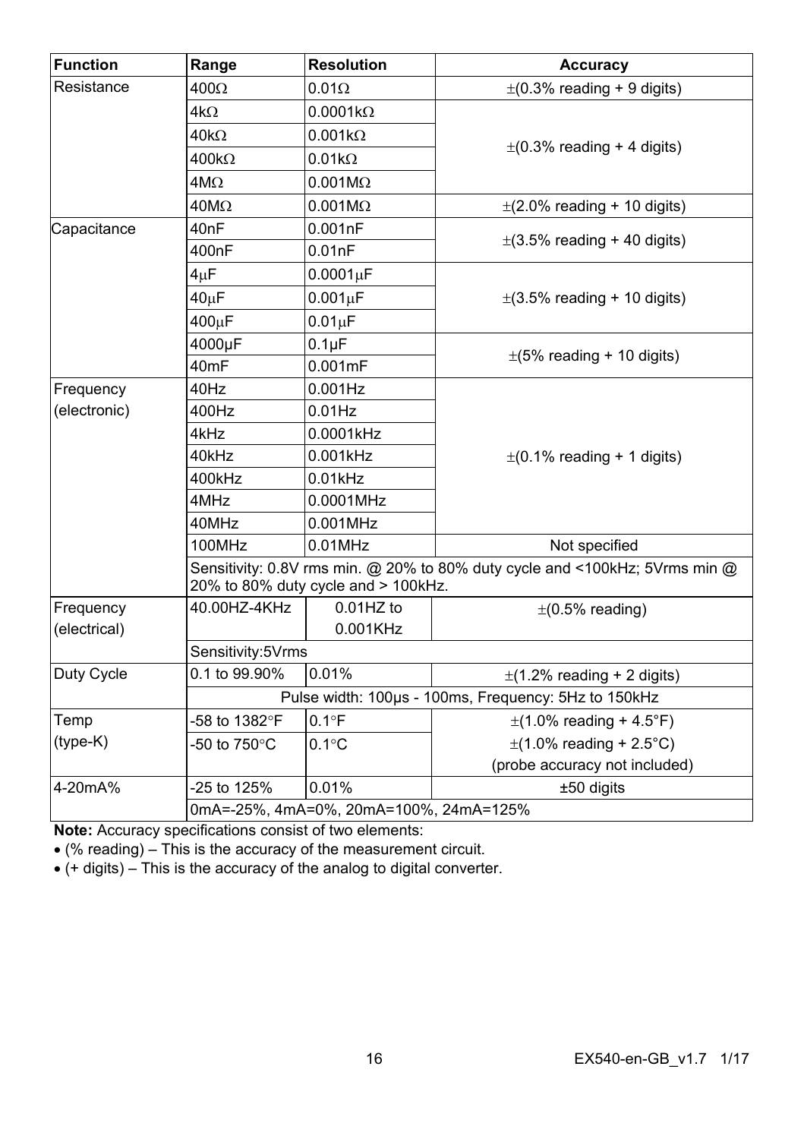| <b>Function</b> | Range             | <b>Resolution</b>                      | Accuracy                                                                    |
|-----------------|-------------------|----------------------------------------|-----------------------------------------------------------------------------|
| Resistance      | $400\Omega$       | $0.01\Omega$                           | $\pm$ (0.3% reading + 9 digits)                                             |
|                 | $4k\Omega$        | $0.0001k\Omega$                        |                                                                             |
|                 | $40k\Omega$       | $0.001k\Omega$                         |                                                                             |
|                 | $400k\Omega$      | $0.01k\Omega$                          | $\pm$ (0.3% reading + 4 digits)                                             |
|                 | $4M\Omega$        | $0.001M\Omega$                         |                                                                             |
|                 | $40M\Omega$       | $0.001M\Omega$                         | $\pm$ (2.0% reading + 10 digits)                                            |
| Capacitance     | 40nF              | 0.001nF                                |                                                                             |
|                 | 400nF             | 0.01nF                                 | $\pm$ (3.5% reading + 40 digits)                                            |
|                 | $4\mu$ F          | 0.0001 <sub>µ</sub> F                  |                                                                             |
|                 | 40 <sub>µ</sub> F | $0.001\mu F$                           | $\pm$ (3.5% reading + 10 digits)                                            |
|                 | 400µF             | $0.01 \mu F$                           |                                                                             |
|                 | 4000µF            | $0.1\mu F$                             |                                                                             |
|                 | 40 <sub>mF</sub>  | $0.001$ m $F$                          | $\pm$ (5% reading + 10 digits)                                              |
| Frequency       | 40Hz              | $0.001$ Hz                             |                                                                             |
| (electronic)    | 400Hz             | $0.01$ Hz                              |                                                                             |
|                 | 4kHz              | 0.0001kHz                              |                                                                             |
|                 | 40kHz             | 0.001kHz                               | $\pm$ (0.1% reading + 1 digits)                                             |
|                 | 400kHz            | $0.01$ kHz                             |                                                                             |
|                 | 4MHz              | 0.0001MHz                              |                                                                             |
|                 | 40MHz             | 0.001MHz                               |                                                                             |
|                 | 100MHz            | $0.01$ MHz                             | Not specified                                                               |
|                 |                   | 20% to 80% duty cycle and > 100kHz.    | Sensitivity: 0.8V rms min. @ 20% to 80% duty cycle and <100kHz; 5Vrms min @ |
| Frequency       | 40.00HZ-4KHz      | $0.01$ HZ to                           | $\pm$ (0.5% reading)                                                        |
| (electrical)    |                   | 0.001KHz                               |                                                                             |
|                 | Sensitivity:5Vrms |                                        |                                                                             |
| Duty Cycle      | 0.1 to 99.90%     | 0.01%                                  | $\pm$ (1.2% reading + 2 digits)                                             |
|                 |                   |                                        | Pulse width: 100µs - 100ms, Frequency: 5Hz to 150kHz                        |
| Temp            | -58 to 1382°F     | $0.1^{\circ}F$                         | $\pm$ (1.0% reading + 4.5°F)                                                |
| $(type-K)$      | -50 to 750°C      | $0.1^{\circ}$ C                        | $\pm$ (1.0% reading + 2.5°C)                                                |
|                 |                   |                                        | (probe accuracy not included)                                               |
| 4-20mA%         | -25 to 125%       | 0.01%                                  | ±50 digits                                                                  |
|                 |                   | 0mA=-25%, 4mA=0%, 20mA=100%, 24mA=125% |                                                                             |

**Note:** Accuracy specifications consist of two elements:

(% reading) – This is the accuracy of the measurement circuit.

 $\bullet$  (+ digits) – This is the accuracy of the analog to digital converter.